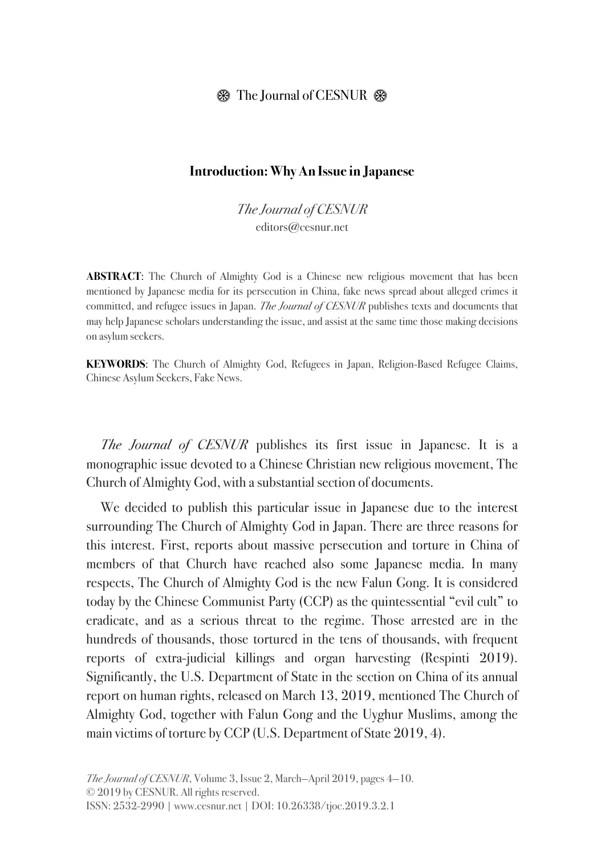## $\circledast$  The Journal of CESNUR  $\circledast$

### **Introduction: Why An Issue in Japanese**

The Journal of CESNUR editors@cesnur.net

**ABSTRACT**: The Church of Almighty God is a Chinese new religious movement that has been mentioned by Japanese media for its persecution in China, fake news spread about alleged crimes it committed, and refugee issues in Japan. The Journal of CESNUR publishes texts and documents that may help Japanese scholars understanding the issue, and assist at the same time those making decisions on asylum seekers.

**KEYWORDS**: The Church of Almighty God, Refugees in Japan, Religion-Based Refugee Claims, Chinese Asylum Seekers, Fake News.

The Journal of CESNUR publishes its first issue in Japanese. It is a monographic issue devoted to a Chinese Christian new religious movement, The Church of Almighty God, with a substantial section of documents.

We decided to publish this particular issue in Japanese due to the interest surrounding The Church of Almighty God in Japan. There are three reasons for this interest. First, reports about massive persecution and torture in China of members of that Church have reached also some Japanese media. In many respects, The Church of Almighty God is the new Falun Gong. It is considered today by the Chinese Communist Party (CCP) as the quintessential "evil cult" to eradicate, and as a serious threat to the regime. Those arrested are in the hundreds of thousands, those tortured in the tens of thousands, with frequent reports of extra-judicial killings and organ harvesting (Respinti 2019). Significantly, the U.S. Department of State in the section on China of its annual report on human rights, released on March 13, 2019, mentioned The Church of Almighty God, together with Falun Gong and the Uyghur Muslims, among the main victims of torture by CCP (U.S. Department of State 2019, 4).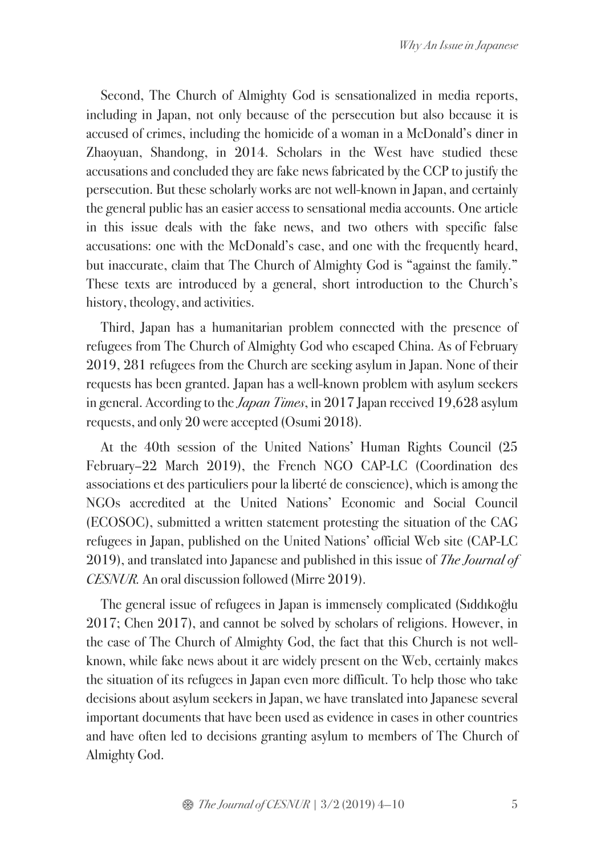Second, The Church of Almighty God is sensationalized in media reports, including in Japan, not only because of the persecution but also because it is accused of crimes, including the homicide of a woman in a McDonald's diner in Zhaoyuan, Shandong, in 2014. Scholars in the West have studied these accusations and concluded they are fake news fabricated by the CCP to justify the persecution. But these scholarly works are not well-known in Japan, and certainly the general public has an easier access to sensational media accounts. One article in this issue deals with the fake news, and two others with specific false accusations: one with the McDonald's case, and one with the frequently heard, but inaccurate, claim that The Church of Almighty God is "against the family." These texts are introduced by a general, short introduction to the Church's history, theology, and activities.

Third, Japan has a humanitarian problem connected with the presence of refugees from The Church of Almighty God who escaped China. As of February 2019, 281 refugees from the Church are seeking asylum in Japan. None of their requests has been granted. Japan has a well-known problem with asylum seekers in general. According to the *Japan Times*, in 2017 Japan received 19,628 asylum requests, and only 20 were accepted (Osumi 2018).

At the 40th session of the United Nations' Human Rights Council (25 February–22 March 2019), the French NGO CAP-LC (Coordination des associations et des particuliers pour la liberté de conscience), which is among the NGOs accredited at the United Nations' Economic and Social Council (ECOSOC), submitted a written statement protesting the situation of the CAG refugees in Japan, published on the United Nations' official Web site (CAP-LC 2019), and translated into Japanese and published in this issue of *The Journal of* CESNUR. An oral discussion followed (Mirre 2019).

The general issue of refugees in Japan is immensely complicated (Sıddıkoğlu 2017; Chen 2017), and cannot be solved by scholars of religions. However, in the case of The Church of Almighty God, the fact that this Church is not wellknown, while fake news about it are widely present on the Web, certainly makes the situation of its refugees in Japan even more difficult. To help those who take decisions about asylum seekers in Japan, we have translated into Japanese several important documents that have been used as evidence in cases in other countries and have often led to decisions granting asylum to members of The Church of Almighty God.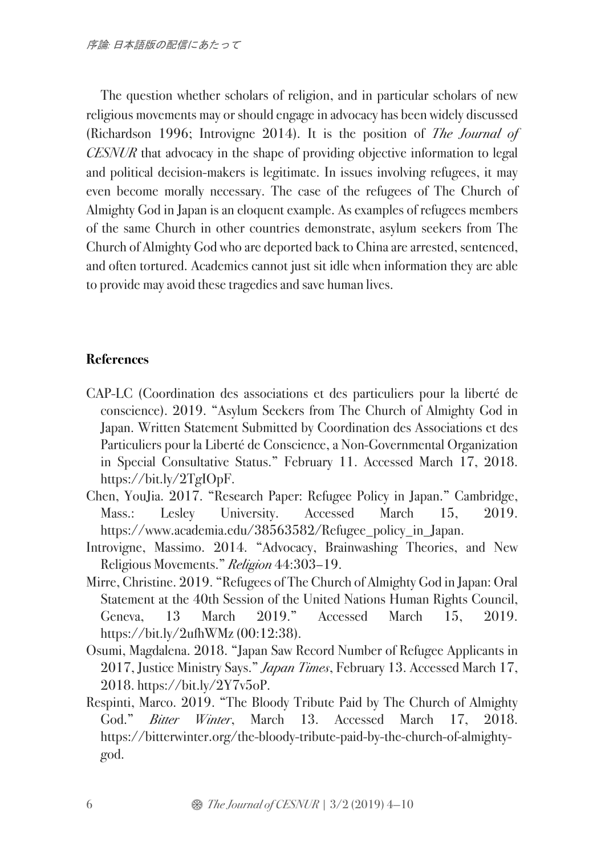The question whether scholars of religion, and in particular scholars of new religious movements may or should engage in advocacy has been widely discussed (Richardson 1996; Introvigne 2014). It is the position of The Journal of CESNUR that advocacy in the shape of providing objective information to legal and political decision-makers is legitimate. In issues involving refugees, it may even become morally necessary. The case of the refugees of The Church of Almighty God in Japan is an eloquent example. As examples of refugees members of the same Church in other countries demonstrate, asylum seekers from The Church of Almighty God who are deported back to China are arrested, sentenced, and often tortured. Academics cannot just sit idle when information they are able to provide may avoid these tragedies and save human lives.

# **References**

- CAP-LC (Coordination des associations et des particuliers pour la liberté de conscience). 2019. "Asylum Seekers from The Church of Almighty God in Japan. Written Statement Submitted by Coordination des Associations et des Particuliers pour la Liberté de Conscience, a Non-Governmental Organization in Special Consultative Status." February 11. Accessed March 17, 2018. https://bit.ly/2TgIOpF.
- Chen, YouJia. 2017. "Research Paper: Refugee Policy in Japan." Cambridge, Mass.: Lesley University. Accessed March 15, 2019. https://www.academia.edu/38563582/Refugee\_policy\_in\_Japan.
- Introvigne, Massimo. 2014. "Advocacy, Brainwashing Theories, and New Religious Movements." Religion 44:303–19.
- Mirre, Christine. 2019. "Refugees of The Church of Almighty God in Japan: Oral Statement at the 40th Session of the United Nations Human Rights Council, Geneva, 13 March 2019." Accessed March 15, 2019. https://bit.ly/2ufhWMz (00:12:38).
- Osumi, Magdalena. 2018. "Japan Saw Record Number of Refugee Applicants in 2017, Justice Ministry Says." *Japan Times*, February 13. Accessed March 17, 2018. https://bit.ly/2Y7v5oP.
- Respinti, Marco. 2019. "The Bloody Tribute Paid by The Church of Almighty God." Bitter Winter, March 13. Accessed March 17, 2018. https://bitterwinter.org/the-bloody-tribute-paid-by-the-church-of-almightygod.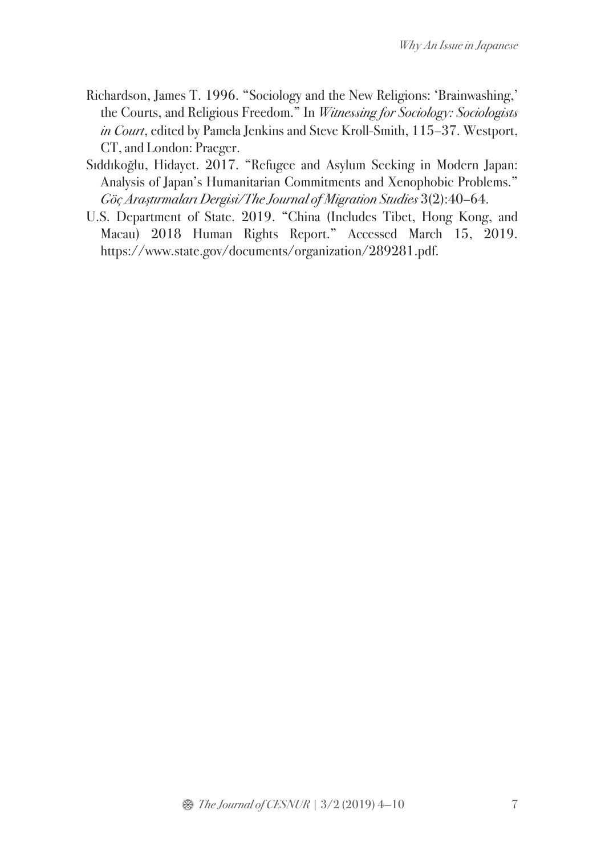- Richardson, James T. 1996. "Sociology and the New Religions: 'Brainwashing,' the Courts, and Religious Freedom." In Witnessing for Sociology: Sociologists in Court, edited by Pamela Jenkins and Steve Kroll-Smith, 115–37. Westport, CT, and London: Praeger.
- Sıddıkoğlu, Hidayet. 2017. "Refugee and Asylum Seeking in Modern Japan: Analysis of Japan's Humanitarian Commitments and Xenophobic Problems." Göç Araştırmaları Dergisi/The Journal of Migration Studies 3(2):40–64.
- U.S. Department of State. 2019. "China (Includes Tibet, Hong Kong, and Macau) 2018 Human Rights Report." Accessed March 15, 2019. https://www.state.gov/documents/organization/289281.pdf.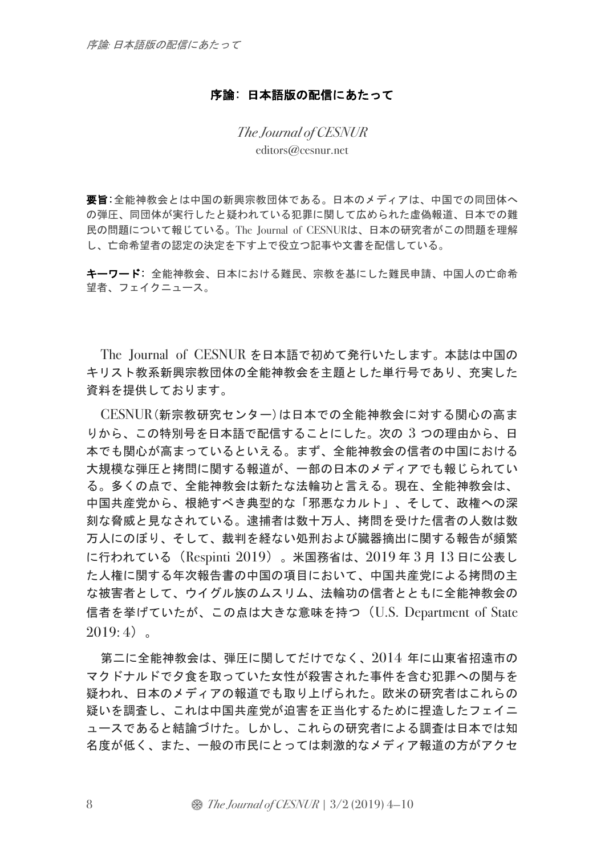#### 序論: 日本語版の配信にあたって

The Journal of CESNUR editors@cesnur.net

要旨:全能神教会とは中国の新興宗教団体である。日本のメディアは、中国での同団体へ の弾圧、同団体が実行したと疑われている犯罪に関して広められた虚偽報道、日本での難 民の問題について報じている。The Journal of CESNURは、日本の研究者がこの問題を理解 し、亡命希望者の認定の決定を下す上で役立つ記事や文書を配信している。

キーワード: 全能神教会、日本における難民、宗教を基にした難民申請、中国人の亡命希 望者、フェイクニュース。

The Journal of CESNUR を日本語で初めて発行いたします。本誌は中国の キリスト教系新興宗教団体の全能神教会を主題とした単行号であり、充実した 資料を提供しております。

CESNUR(新宗教研究センター)は日本での全能神教会に対する関心の高ま りから、この特別号を日本語で配信することにした。次の 3 つの理由から、日 本でも関心が高まっているといえる。まず、全能神教会の信者の中国における 大規模な弾圧と拷問に関する報道が、一部の日本のメディアでも報じられてい る。多くの点で、全能神教会は新たな法輪功と言える。現在、全能神教会は、 中国共産党から、根絶すべき典型的な「邪悪なカルト」、そして、政権への深 刻な脅威と見なされている。逮捕者は数十万人、拷問を受けた信者の人数は数 万人にのぼり、そして、裁判を経ない処刑および臓器摘出に関する報告が頻繁 に行われている(Respinti 2019)。米国務省は、2019 年 3 月 13 日に公表し た人権に関する年次報告書の中国の項目において、中国共産党による拷問の主 な被害者として、ウイグル族のムスリム、法輪功の信者とともに全能神教会の 信者を挙げていたが、この点は大きな意味を持つ(U.S. Department of State  $2019:4$ 

第二に全能神教会は、弾圧に関してだけでなく、2014 年に山東省招遠市の マクドナルドで夕食を取っていた女性が殺害された事件を含む犯罪への関与を 疑われ、日本のメディアの報道でも取り上げられた。欧米の研究者はこれらの 疑いを調査し、これは中国共産党が迫害を正当化するために捏造したフェイニ ュースであると結論づけた。しかし、これらの研究者による調査は日本では知 名度が低く、また、一般の市民にとっては刺激的なメディア報道の方がアクセ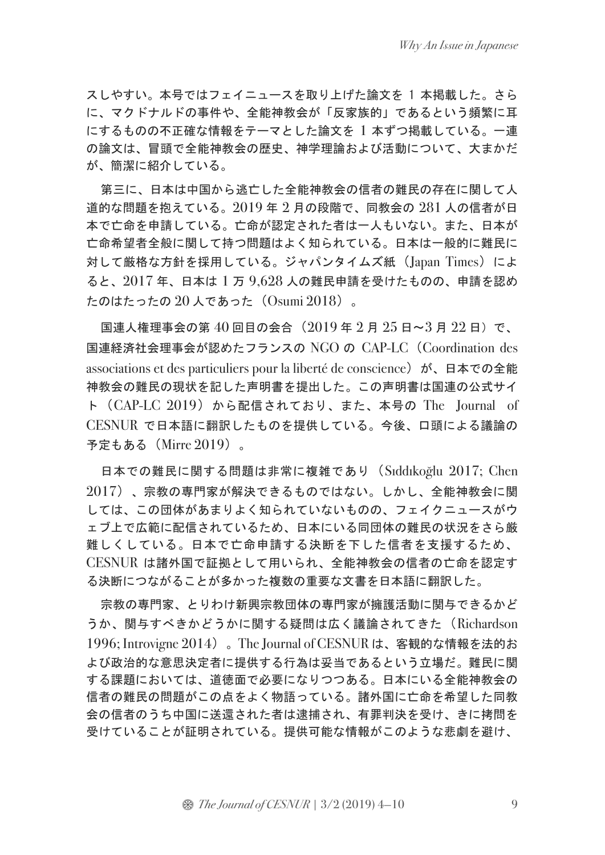スしやすい。本号ではフェイニュースを取り上げた論文を 1 本掲載した。さら に、マクドナルドの事件や、全能神教会が「反家族的」であるという頻繁に耳 にするものの不正確な情報をテーマとした論文を 1 本ずつ掲載している。一連 の論文は、冒頭で全能神教会の歴史、神学理論および活動について、大まかだ が、簡潔に紹介している。

第三に、日本は中国から逃亡した全能神教会の信者の難民の存在に関して人 道的な問題を抱えている。2019 年 2 月の段階で、同教会の 281 人の信者が日 本で亡命を申請している。亡命が認定された者は一人もいない。また、日本が 亡命希望者全般に関して持つ問題はよく知られている。日本は一般的に難民に 対して厳格な方針を採用している。ジャパンタイムズ紙 (Japan Times) によ ると、2017 年、日本は 1 万 9,628 人の難民申請を受けたものの、申請を認め たのはたったの 20 人であった(Osumi 2018)。

国連人権理事会の第40回目の会合(2019年2月25日~3月22日)で、 国連経済社会理事会が認めたフランスの NGO の CAP-LC(Coordination des associations et des particuliers pour la liberté de conscience) が、日本での全能 神教会の難民の現状を記した声明書を提出した。この声明書は国連の公式サイ ト(CAP-LC 2019)から配信されており、また、本号の The Journal of CESNUR で日本語に翻訳したものを提供している。今後、口頭による議論の 予定もある(Mirre 2019)。

日本での難民に関する問題は非常に複雑であり(Sıddıkoğlu 2017; Chen 2017)、宗教の専門家が解決できるものではない。しかし、全能神教会に関 しては、この団体があまりよく知られていないものの、フェイクニュースがウ ェブ上で広範に配信されているため、日本にいる同団体の難民の状況をさら厳 難しくしている。日本で亡命申請する決断を下した信者を支援するため、 CESNUR は諸外国で証拠として用いられ、全能神教会の信者の亡命を認定す る決断につながることが多かった複数の重要な文書を日本語に翻訳した。

宗教の専門家、とりわけ新興宗教団体の専門家が擁護活動に関与できるかど うか、関与すべきかどうかに関する疑問は広く議論されてきた(Richardson 1996; Introvigne 2014)。The Journal of CESNUR は、客観的な情報を法的お よび政治的な意思決定者に提供する行為は妥当であるという立場だ。難民に関 する課題においては、道徳面で必要になりつつある。日本にいる全能神教会の 信者の難民の問題がこの点をよく物語っている。諸外国に亡命を希望した同教 会の信者のうち中国に送還された者は逮捕され、有罪判決を受け、きに拷問を 受けていることが証明されている。提供可能な情報がこのような悲劇を避け、